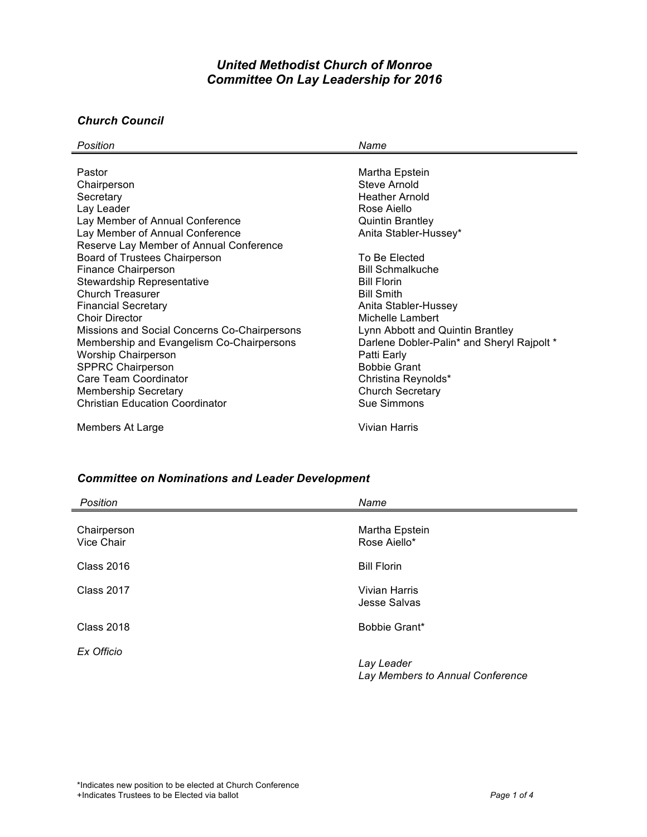# *United Methodist Church of Monroe Committee On Lay Leadership for 2016*

## *Church Council*

| Position                                     | Name                                       |
|----------------------------------------------|--------------------------------------------|
|                                              |                                            |
| Pastor                                       | Martha Epstein                             |
| Chairperson                                  | Steve Arnold                               |
| Secretary                                    | <b>Heather Arnold</b>                      |
| Lay Leader                                   | Rose Aiello                                |
| Lay Member of Annual Conference              | <b>Quintin Brantley</b>                    |
| Lay Member of Annual Conference              | Anita Stabler-Hussey*                      |
| Reserve Lay Member of Annual Conference      |                                            |
| Board of Trustees Chairperson                | To Be Elected                              |
| Finance Chairperson                          | <b>Bill Schmalkuche</b>                    |
| <b>Stewardship Representative</b>            | <b>Bill Florin</b>                         |
| Church Treasurer                             | <b>Bill Smith</b>                          |
| <b>Financial Secretary</b>                   | Anita Stabler-Hussey                       |
| <b>Choir Director</b>                        | Michelle Lambert                           |
| Missions and Social Concerns Co-Chairpersons | Lynn Abbott and Quintin Brantley           |
| Membership and Evangelism Co-Chairpersons    | Darlene Dobler-Palin* and Sheryl Rajpolt * |
| <b>Worship Chairperson</b>                   | Patti Early                                |
| <b>SPPRC Chairperson</b>                     | <b>Bobbie Grant</b>                        |
| Care Team Coordinator                        | Christina Reynolds*                        |
| <b>Membership Secretary</b>                  | <b>Church Secretary</b>                    |
| <b>Christian Education Coordinator</b>       | Sue Simmons                                |
| Members At Large                             | Vivian Harris                              |

### *Committee on Nominations and Leader Development*

| Position                  | Name                                           |
|---------------------------|------------------------------------------------|
| Chairperson<br>Vice Chair | Martha Epstein<br>Rose Aiello*                 |
| <b>Class 2016</b>         | <b>Bill Florin</b>                             |
| <b>Class 2017</b>         | Vivian Harris<br><b>Jesse Salvas</b>           |
| <b>Class 2018</b>         | Bobbie Grant*                                  |
| Ex Officio                | Lay Leader<br>Lay Members to Annual Conference |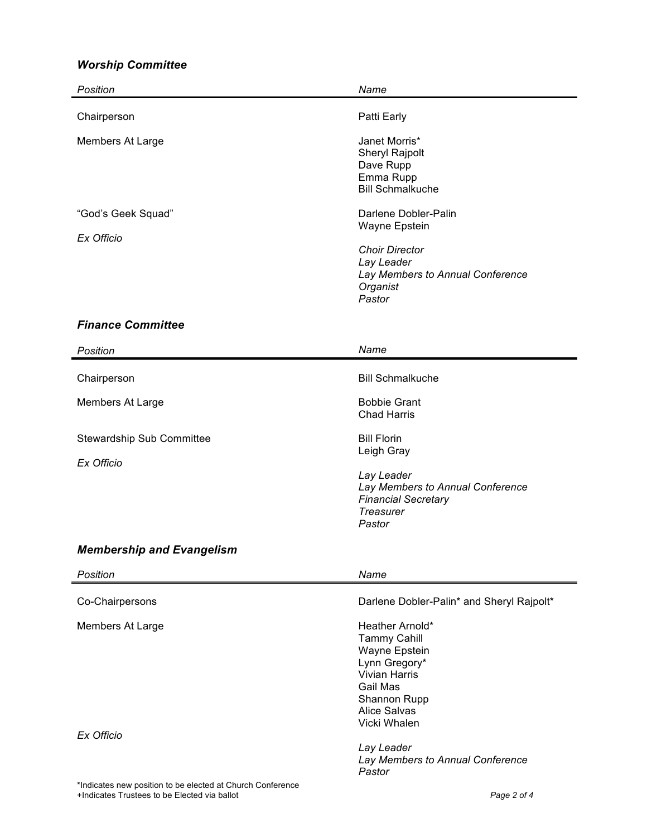## *Worship Committee*

| Position                         | Name                                                                                                                                   |
|----------------------------------|----------------------------------------------------------------------------------------------------------------------------------------|
| Chairperson                      | Patti Early                                                                                                                            |
| Members At Large                 | Janet Morris*<br>Sheryl Rajpolt<br>Dave Rupp<br>Emma Rupp<br><b>Bill Schmalkuche</b>                                                   |
| "God's Geek Squad"<br>Ex Officio | Darlene Dobler-Palin<br>Wayne Epstein<br><b>Choir Director</b><br>Lay Leader<br>Lay Members to Annual Conference<br>Organist<br>Pastor |

#### *Finance Committee*

| Position                                                   | Name                                                                                                                                                |
|------------------------------------------------------------|-----------------------------------------------------------------------------------------------------------------------------------------------------|
| Chairperson                                                | <b>Bill Schmalkuche</b>                                                                                                                             |
| Members At Large                                           | <b>Bobbie Grant</b><br><b>Chad Harris</b>                                                                                                           |
| <b>Stewardship Sub Committee</b><br>Ex Officio             | <b>Bill Florin</b><br>Leigh Gray<br>Lay Leader<br>Lay Members to Annual Conference<br><b>Financial Secretary</b><br>Treasurer<br>Pastor             |
| <b>Membership and Evangelism</b>                           |                                                                                                                                                     |
|                                                            |                                                                                                                                                     |
| Position                                                   | Name                                                                                                                                                |
| Co-Chairpersons                                            | Darlene Dobler-Palin* and Sheryl Rajpolt*                                                                                                           |
| Members At Large                                           | Heather Arnold*<br><b>Tammy Cahill</b><br>Wayne Epstein<br>Lynn Gregory*<br><b>Vivian Harris</b><br>Gail Mas<br>Shannon Rupp<br><b>Alice Salvas</b> |
| Ex Officio                                                 | Vicki Whalen                                                                                                                                        |
| *Indicates new position to be elected at Church Conference | Lay Leader<br>Lay Members to Annual Conference<br>Pastor                                                                                            |

+Indicates Trustees to be Elected via ballot *Page 2 of 4*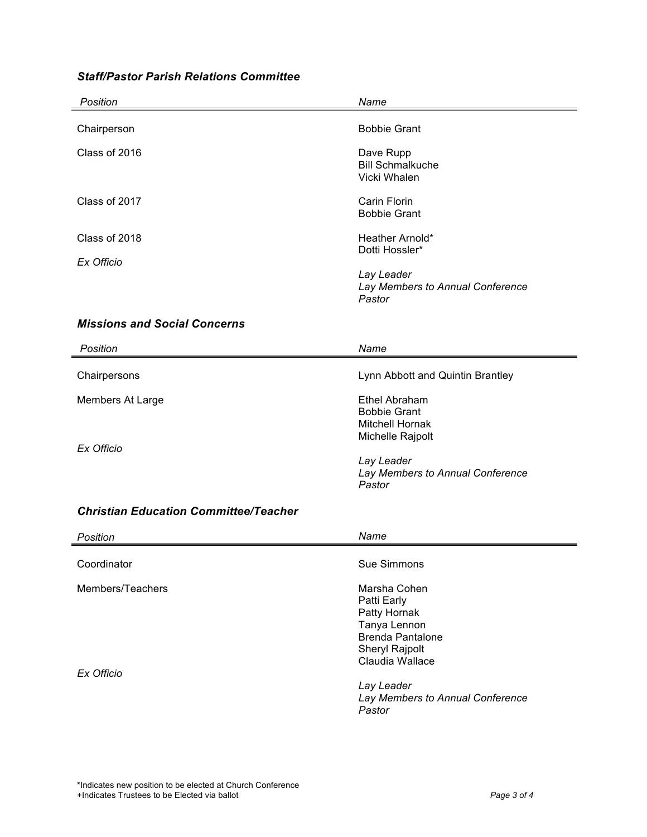# *Staff/Pastor Parish Relations Committee*

| Position                                     | Name                                                                                   |
|----------------------------------------------|----------------------------------------------------------------------------------------|
| Chairperson                                  | <b>Bobbie Grant</b>                                                                    |
| Class of 2016                                | Dave Rupp<br><b>Bill Schmalkuche</b><br>Vicki Whalen                                   |
| Class of 2017                                | <b>Carin Florin</b><br><b>Bobbie Grant</b>                                             |
| Class of 2018                                | Heather Arnold*                                                                        |
| Ex Officio                                   | Dotti Hossler*                                                                         |
|                                              | Lay Leader<br>Lay Members to Annual Conference<br>Pastor                               |
| <b>Missions and Social Concerns</b>          |                                                                                        |
| Position                                     | Name                                                                                   |
| Chairpersons                                 | Lynn Abbott and Quintin Brantley                                                       |
| Members At Large                             | <b>Ethel Abraham</b>                                                                   |
| Ex Officio                                   | <b>Bobbie Grant</b><br><b>Mitchell Hornak</b><br>Michelle Rajpolt                      |
|                                              | Lay Leader<br>Lay Members to Annual Conference<br>Pastor                               |
| <b>Christian Education Committee/Teacher</b> |                                                                                        |
| Position                                     | Name                                                                                   |
| Coordinator                                  | Sue Simmons                                                                            |
| Members/Teachers                             | Marsha Cohen<br>Patti Early<br>Patty Hornak<br>Tanya Lennon<br><b>Brenda Pantalone</b> |

*Ex Officio*

*Lay Leader Lay Members to Annual Conference Pastor*

Sheryl Rajpolt Claudia Wallace